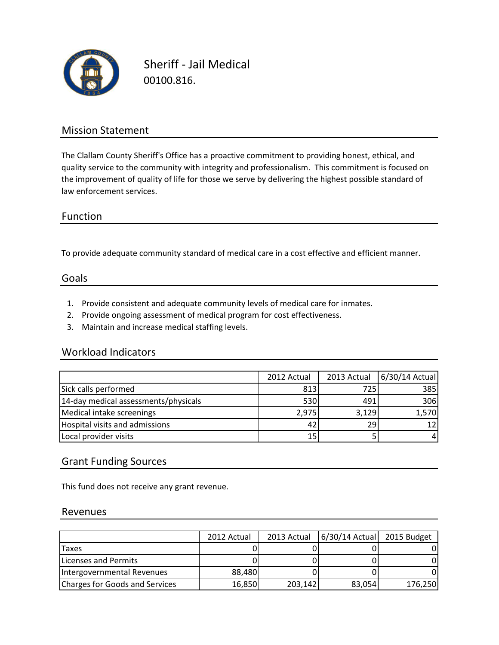

Sheriff - Jail Medical 00100.816.

## Mission Statement

The Clallam County Sheriff's Office has a proactive commitment to providing honest, ethical, and quality service to the community with integrity and professionalism. This commitment is focused on the improvement of quality of life for those we serve by delivering the highest possible standard of law enforcement services.

## Function

To provide adequate community standard of medical care in a cost effective and efficient manner.

#### Goals

- 1. Provide consistent and adequate community levels of medical care for inmates.
- 2. Provide ongoing assessment of medical program for cost effectiveness.
- 3. Maintain and increase medical staffing levels.

#### Workload Indicators

|                                      | 2012 Actual | 2013 Actual | 6/30/14 Actual |
|--------------------------------------|-------------|-------------|----------------|
| Sick calls performed                 | 813         | 725         | 385            |
| 14-day medical assessments/physicals | 530         | 491         | 306            |
| Medical intake screenings            | 2,975       | 3,129       | 1,570          |
| Hospital visits and admissions       | 42          | 29          |                |
| Local provider visits                | 15          |             |                |

### Grant Funding Sources

This fund does not receive any grant revenue.

#### Revenues

|                                | 2012 Actual | 2013 Actual | 6/30/14 Actual 2015 Budget |         |
|--------------------------------|-------------|-------------|----------------------------|---------|
| <b>Taxes</b>                   |             |             |                            |         |
| Licenses and Permits           |             |             |                            |         |
| Intergovernmental Revenues     | 88,480      |             |                            |         |
| Charges for Goods and Services | 16,850      | 203,142     | 83,054                     | 176,250 |